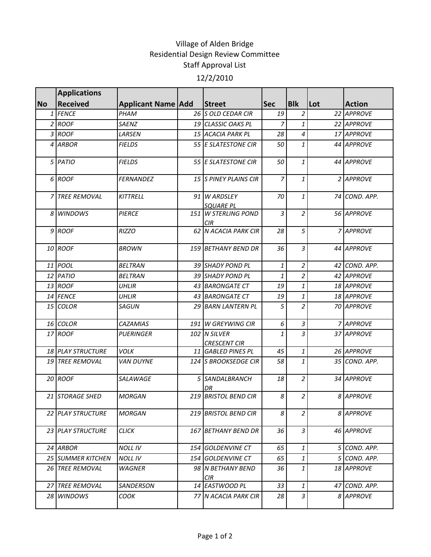## Village of Alden Bridge Residential Design Review Committee Staff Approval List 12/2/2010

|           | <b>Applications</b>       |                           |     |                                      |            |                    |     |               |
|-----------|---------------------------|---------------------------|-----|--------------------------------------|------------|--------------------|-----|---------------|
| <b>No</b> | <b>Received</b>           | <b>Applicant Name Add</b> |     | <b>Street</b>                        | <b>Sec</b> | <b>Blk</b>         | Lot | <b>Action</b> |
|           | 1 FENCE                   | PHAM                      |     | 26 S OLD CEDAR CIR                   | 19         | $\overline{a}$     |     | 22 APPROVE    |
|           | 2 ROOF                    | SAENZ                     |     | 19 CLASSIC OAKS PL                   | 7          | 1                  |     | 22 APPROVE    |
|           | 3 ROOF                    | LARSEN                    |     | 15 ACACIA PARK PL                    | 28         | $\overline{4}$     |     | 17 APPROVE    |
|           | 4 ARBOR                   | <b>FIELDS</b>             |     | 55 E SLATESTONE CIR                  | 50         | $\mathbf{1}$       |     | 44 APPROVE    |
|           | 5 PATIO                   | <b>FIELDS</b>             |     | 55 E SLATESTONE CIR                  | 50         | 1                  |     | 44 APPROVE    |
|           | 6 ROOF                    | <b>FERNANDEZ</b>          |     | 15 S PINEY PLAINS CIR                | 7          | 1                  |     | 2 APPROVE     |
| 7         | <b>TREE REMOVAL</b>       | <b>KITTRELL</b>           |     | 91 W ARDSLEY<br><b>SQUARE PL</b>     | 70         | $\mathbf{1}$       |     | 74 COND. APP. |
|           | 8 WINDOWS                 | <b>PIERCE</b>             | 151 | <b>W STERLING POND</b><br><b>CIR</b> | 3          | $\overline{2}$     |     | 56 APPROVE    |
|           | $9$ ROOF                  | <b>RIZZO</b>              |     | 62 N ACACIA PARK CIR                 | 28         | 5                  |     | 7 APPROVE     |
|           | 10 ROOF                   | <b>BROWN</b>              |     | 159 BETHANY BEND DR                  | 36         | 3                  |     | 44 APPROVE    |
|           | 11 POOL                   | <b>BELTRAN</b>            |     | 39 SHADY POND PL                     | 1          | $\overline{2}$     |     | 42 COND. APP. |
|           | 12 PATIO                  | <b>BELTRAN</b>            |     | 39 SHADY POND PL                     | 1          | $\overline{a}$     |     | 42 APPROVE    |
|           | 13 ROOF                   | <b>UHLIR</b>              |     | 43 BARONGATE CT                      | 19         | 1                  |     | 18 APPROVE    |
|           | 14 FENCE                  | UHLIR                     |     | 43 BARONGATE CT                      | 19         | $\mathbf{1}$       |     | 18 APPROVE    |
|           | 15 COLOR                  | SAGUN                     |     | 29 BARN LANTERN PL                   | 5          | $\overline{2}$     |     | 70 APPROVE    |
|           | 16 COLOR                  | <b>CAZAMIAS</b>           |     | 191 W GREYWING CIR                   | 6          | $\mathfrak{Z}$     |     | 7 APPROVE     |
|           | 17 ROOF                   | PUERINGER                 |     | 102 N SILVER<br><b>CRESCENT CIR</b>  | 1          | $\overline{3}$     |     | 37 APPROVE    |
|           | 18 PLAY STRUCTURE         | <b>VOLK</b>               |     | 11 GABLED PINES PL                   | 45         | $\mathbf{1}% _{T}$ |     | 26 APPROVE    |
|           | <b>19 TREE REMOVAL</b>    | <b>VAN DUYNE</b>          |     | 124 S BROOKSEDGE CIR                 | 58         | $\mathbf{1}$       |     | 35 COND. APP. |
|           | 20 ROOF                   | <b>SALAWAGE</b>           |     | 5 SANDALBRANCH<br>DR                 | 18         | $\overline{a}$     |     | 34 APPROVE    |
|           | 21 STORAGE SHED           | <b>MORGAN</b>             |     | 219 BRISTOL BEND CIR                 | 8          | $\overline{a}$     |     | 8 APPROVE     |
|           | 22 PLAY STRUCTURE         | <b>MORGAN</b>             |     | 219 BRISTOL BEND CIR                 | 8          | $\overline{2}$     |     | 8 APPROVE     |
|           | 23 PLAY STRUCTURE         | <b>CLICK</b>              |     | 167 BETHANY BEND DR                  | 36         | 3                  |     | 46 APPROVE    |
|           | 24 ARBOR                  | <b>NOLL IV</b>            | 154 | <b>GOLDENVINE CT</b>                 | 65         | $\mathbf{1}$       |     | 5 COND. APP.  |
|           | <b>25 ISUMMER KITCHEN</b> | NOLL IV                   |     | <i>154 GOLDENVINE CT</i>             | 65         | $\mathbf{1}$       |     | 5 COND. APP.  |
|           | <b>26 TREE REMOVAL</b>    | WAGNER                    |     | 98 IN BETHANY BEND<br>CIR.           | 36         | 1                  |     | 18 APPROVE    |
| 27        | <b>TREE REMOVAL</b>       | SANDERSON                 |     | 14 EASTWOOD PL                       | 33         | $\mathbf{1}$       |     | 47 COND. APP. |
|           | 28 WINDOWS                | соок                      |     | 77 N ACACIA PARK CIR                 | 28         | 3                  |     | 8 APPROVE     |